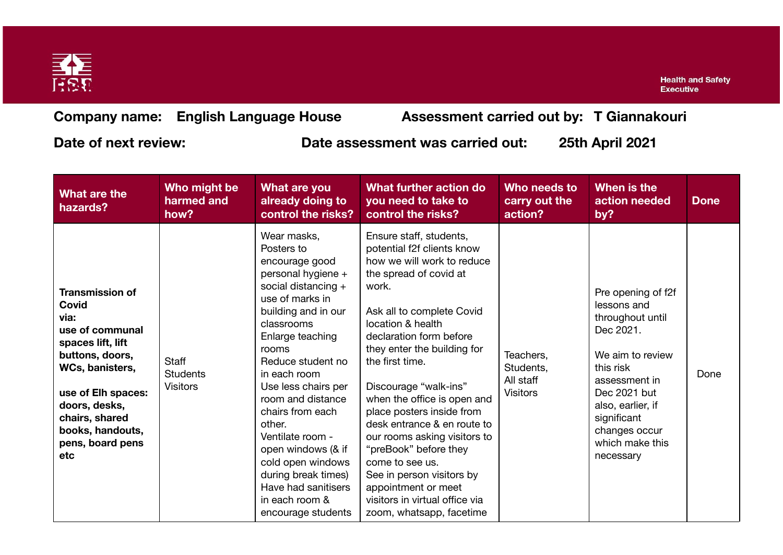

**Health and Safety Executive** 

**Company name: English Language House Assessment carried out by: T Giannakouri**

**Date of next review: Date assessment was carried out: 25th April 2021**

| What are the<br>hazards?                                                                                                                                                                                                      | Who might be<br>harmed and<br>how?                 | What are you<br>already doing to<br>control the risks?                                                                                                                                                                                                                                                                                                                                                                                            | What further action do<br>you need to take to<br>control the risks?                                                                                                                                                                                                                                                                                                                                                                                                                                                                                                     | Who needs to<br>carry out the<br>action?               | When is the<br>action needed<br>by?                                                                                                                                                                                       | <b>Done</b> |
|-------------------------------------------------------------------------------------------------------------------------------------------------------------------------------------------------------------------------------|----------------------------------------------------|---------------------------------------------------------------------------------------------------------------------------------------------------------------------------------------------------------------------------------------------------------------------------------------------------------------------------------------------------------------------------------------------------------------------------------------------------|-------------------------------------------------------------------------------------------------------------------------------------------------------------------------------------------------------------------------------------------------------------------------------------------------------------------------------------------------------------------------------------------------------------------------------------------------------------------------------------------------------------------------------------------------------------------------|--------------------------------------------------------|---------------------------------------------------------------------------------------------------------------------------------------------------------------------------------------------------------------------------|-------------|
| <b>Transmission of</b><br>Covid<br>via:<br>use of communal<br>spaces lift, lift<br>buttons, doors,<br>WCs, banisters,<br>use of Elh spaces:<br>doors, desks,<br>chairs, shared<br>books, handouts,<br>pens, board pens<br>etc | <b>Staff</b><br><b>Students</b><br><b>Visitors</b> | Wear masks,<br>Posters to<br>encourage good<br>personal hygiene +<br>social distancing +<br>use of marks in<br>building and in our<br>classrooms<br>Enlarge teaching<br>rooms<br>Reduce student no<br>in each room<br>Use less chairs per<br>room and distance<br>chairs from each<br>other.<br>Ventilate room -<br>open windows (& if<br>cold open windows<br>during break times)<br>Have had sanitisers<br>in each room &<br>encourage students | Ensure staff, students,<br>potential f2f clients know<br>how we will work to reduce<br>the spread of covid at<br>work.<br>Ask all to complete Covid<br>location & health<br>declaration form before<br>they enter the building for<br>the first time.<br>Discourage "walk-ins"<br>when the office is open and<br>place posters inside from<br>desk entrance & en route to<br>our rooms asking visitors to<br>"preBook" before they<br>come to see us.<br>See in person visitors by<br>appointment or meet<br>visitors in virtual office via<br>zoom, whatsapp, facetime | Teachers,<br>Students,<br>All staff<br><b>Visitors</b> | Pre opening of f2f<br>lessons and<br>throughout until<br>Dec 2021.<br>We aim to review<br>this risk<br>assessment in<br>Dec 2021 but<br>also, earlier, if<br>significant<br>changes occur<br>which make this<br>necessary | Done        |